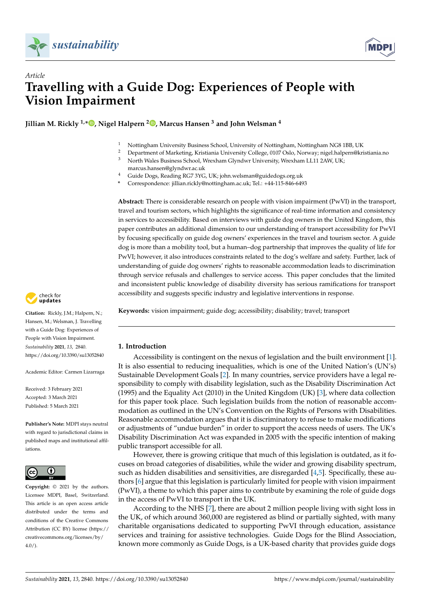



# *Article* **Travelling with a Guide Dog: Experiences of People with Vision Impairment**

**Jillian M. Rickly 1,\* [,](https://orcid.org/0000-0002-2150-3294) Nigel Halpern [2](https://orcid.org/0000-0003-3913-7197) , Marcus Hansen <sup>3</sup> and John Welsman <sup>4</sup>**

- 1 Nottingham University Business School, University of Nottingham, Nottingham NG8 1BB, UK<br>2 Department of Marketine, Kristiania University College 0107 Orle, Norway nicel belpour@hri
- <sup>2</sup> Department of Marketing, Kristiania University College, 0107 Oslo, Norway; nigel.halpern@kristiania.no<br><sup>3</sup> North Wales Business School, Wreyham Clyndwr University Wreyham U 11.2 AW UK.
- <sup>3</sup> North Wales Business School, Wrexham Glyndwr University, Wrexham LL11 2AW, UK; marcus.hansen@glyndwr.ac.uk
- <sup>4</sup> Guide Dogs, Reading RG7 3YG, UK; john.welsman@guidedogs.org.uk
- **\*** Correspondence: jillian.rickly@nottingham.ac.uk; Tel.: +44-115-846-6493

**Abstract:** There is considerable research on people with vision impairment (PwVI) in the transport, travel and tourism sectors, which highlights the significance of real-time information and consistency in services to accessibility. Based on interviews with guide dog owners in the United Kingdom, this paper contributes an additional dimension to our understanding of transport accessibility for PwVI by focusing specifically on guide dog owners' experiences in the travel and tourism sector. A guide dog is more than a mobility tool, but a human–dog partnership that improves the quality of life for PwVI; however, it also introduces constraints related to the dog's welfare and safety. Further, lack of understanding of guide dog owners' rights to reasonable accommodation leads to discrimination through service refusals and challenges to service access. This paper concludes that the limited and inconsistent public knowledge of disability diversity has serious ramifications for transport accessibility and suggests specific industry and legislative interventions in response.



# **-**

check for

**Citation:** Rickly, J.M.; Halpern, N.; Hansen, M.; Welsman, J. Travelling with a Guide Dog: Experiences of People with Vision Impairment. *Sustainability* **2021**, *13*, 2840. <https://doi.org/10.3390/su13052840>

Academic Editor: Carmen Lizarraga

Received: 3 February 2021 Accepted: 3 March 2021 Published: 5 March 2021

**Publisher's Note:** MDPI stays neutral with regard to jurisdictional claims in published maps and institutional affiliations.



**Copyright:** © 2021 by the authors. Licensee MDPI, Basel, Switzerland. This article is an open access article distributed under the terms and conditions of the Creative Commons Attribution (CC BY) license (https:/[/](https://creativecommons.org/licenses/by/4.0/) [creativecommons.org/licenses/by/](https://creativecommons.org/licenses/by/4.0/)  $4.0/$ ).

# **1. Introduction**

Accessibility is contingent on the nexus of legislation and the built environment [\[1\]](#page-10-0). It is also essential to reducing inequalities, which is one of the United Nation's (UN's) Sustainable Development Goals [\[2\]](#page-10-1). In many countries, service providers have a legal responsibility to comply with disability legislation, such as the Disability Discrimination Act (1995) and the Equality Act (2010) in the United Kingdom (UK) [\[3\]](#page-10-2), where data collection for this paper took place. Such legislation builds from the notion of reasonable accommodation as outlined in the UN's Convention on the Rights of Persons with Disabilities. Reasonable accommodation argues that it is discriminatory to refuse to make modifications or adjustments of "undue burden" in order to support the access needs of users. The UK's Disability Discrimination Act was expanded in 2005 with the specific intention of making public transport accessible for all.

However, there is growing critique that much of this legislation is outdated, as it focuses on broad categories of disabilities, while the wider and growing disability spectrum, such as hidden disabilities and sensitivities, are disregarded [\[4,](#page-10-3)[5\]](#page-10-4). Specifically, these authors [\[6\]](#page-10-5) argue that this legislation is particularly limited for people with vision impairment (PwVI), a theme to which this paper aims to contribute by examining the role of guide dogs in the access of PwVI to transport in the UK.

According to the NHS [\[7\]](#page-10-6), there are about 2 million people living with sight loss in the UK, of which around 360,000 are registered as blind or partially sighted, with many charitable organisations dedicated to supporting PwVI through education, assistance services and training for assistive technologies. Guide Dogs for the Blind Association, known more commonly as Guide Dogs, is a UK-based charity that provides guide dogs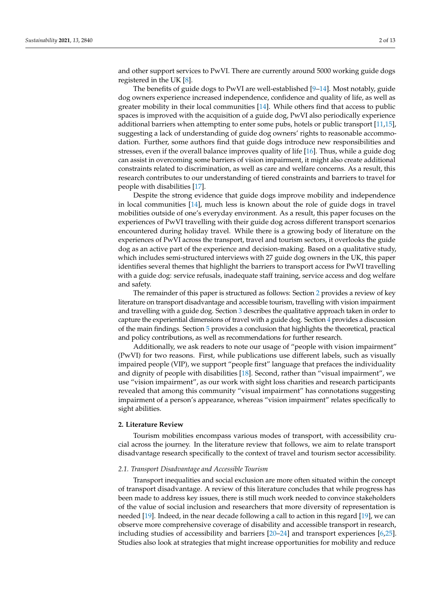and other support services to PwVI. There are currently around 5000 working guide dogs registered in the UK [\[8\]](#page-10-7).

The benefits of guide dogs to PwVI are well-established  $[9-14]$  $[9-14]$ . Most notably, guide dog owners experience increased independence, confidence and quality of life, as well as greater mobility in their local communities [\[14\]](#page-11-0). While others find that access to public spaces is improved with the acquisition of a guide dog, PwVI also periodically experience additional barriers when attempting to enter some pubs, hotels or public transport [\[11](#page-10-9)[,15\]](#page-11-1), suggesting a lack of understanding of guide dog owners' rights to reasonable accommodation. Further, some authors find that guide dogs introduce new responsibilities and stresses, even if the overall balance improves quality of life [\[16\]](#page-11-2). Thus, while a guide dog can assist in overcoming some barriers of vision impairment, it might also create additional constraints related to discrimination, as well as care and welfare concerns. As a result, this research contributes to our understanding of tiered constraints and barriers to travel for people with disabilities [\[17\]](#page-11-3).

Despite the strong evidence that guide dogs improve mobility and independence in local communities [\[14\]](#page-11-0), much less is known about the role of guide dogs in travel mobilities outside of one's everyday environment. As a result, this paper focuses on the experiences of PwVI travelling with their guide dog across different transport scenarios encountered during holiday travel. While there is a growing body of literature on the experiences of PwVI across the transport, travel and tourism sectors, it overlooks the guide dog as an active part of the experience and decision-making. Based on a qualitative study, which includes semi-structured interviews with 27 guide dog owners in the UK, this paper identifies several themes that highlight the barriers to transport access for PwVI travelling with a guide dog: service refusals, inadequate staff training, service access and dog welfare and safety.

The remainder of this paper is structured as follows: Section [2](#page-1-0) provides a review of key literature on transport disadvantage and accessible tourism, travelling with vision impairment and travelling with a guide dog. Section [3](#page-4-0) describes the qualitative approach taken in order to capture the experiential dimensions of travel with a guide dog. Section [4](#page-6-0) provides a discussion of the main findings. Section [5](#page-9-0) provides a conclusion that highlights the theoretical, practical and policy contributions, as well as recommendations for further research.

Additionally, we ask readers to note our usage of "people with vision impairment" (PwVI) for two reasons. First, while publications use different labels, such as visually impaired people (VIP), we support "people first" language that prefaces the individuality and dignity of people with disabilities [\[18\]](#page-11-4). Second, rather than "visual impairment", we use "vision impairment", as our work with sight loss charities and research participants revealed that among this community "visual impairment" has connotations suggesting impairment of a person's appearance, whereas "vision impairment" relates specifically to sight abilities.

#### <span id="page-1-0"></span>**2. Literature Review**

Tourism mobilities encompass various modes of transport, with accessibility crucial across the journey. In the literature review that follows, we aim to relate transport disadvantage research specifically to the context of travel and tourism sector accessibility.

#### *2.1. Transport Disadvantage and Accessible Tourism*

Transport inequalities and social exclusion are more often situated within the concept of transport disadvantage. A review of this literature concludes that while progress has been made to address key issues, there is still much work needed to convince stakeholders of the value of social inclusion and researchers that more diversity of representation is needed [\[19\]](#page-11-5). Indeed, in the near decade following a call to action in this regard [\[19\]](#page-11-5), we can observe more comprehensive coverage of disability and accessible transport in research, including studies of accessibility and barriers [\[20](#page-11-6)[–24\]](#page-11-7) and transport experiences [\[6,](#page-10-5)[25\]](#page-11-8). Studies also look at strategies that might increase opportunities for mobility and reduce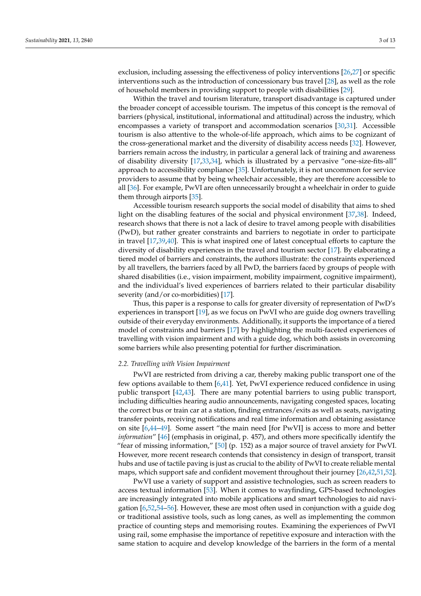exclusion, including assessing the effectiveness of policy interventions [\[26](#page-11-9)[,27\]](#page-11-10) or specific interventions such as the introduction of concessionary bus travel [\[28\]](#page-11-11), as well as the role of household members in providing support to people with disabilities [\[29\]](#page-11-12).

Within the travel and tourism literature, transport disadvantage is captured under the broader concept of accessible tourism. The impetus of this concept is the removal of barriers (physical, institutional, informational and attitudinal) across the industry, which encompasses a variety of transport and accommodation scenarios [\[30](#page-11-13)[,31\]](#page-11-14). Accessible tourism is also attentive to the whole-of-life approach, which aims to be cognizant of the cross-generational market and the diversity of disability access needs [\[32\]](#page-11-15). However, barriers remain across the industry, in particular a general lack of training and awareness of disability diversity [\[17,](#page-11-3)[33,](#page-11-16)[34\]](#page-11-17), which is illustrated by a pervasive "one-size-fits-all" approach to accessibility compliance [\[35\]](#page-11-18). Unfortunately, it is not uncommon for service providers to assume that by being wheelchair accessible, they are therefore accessible to all [\[36\]](#page-11-19). For example, PwVI are often unnecessarily brought a wheelchair in order to guide them through airports [\[35\]](#page-11-18).

Accessible tourism research supports the social model of disability that aims to shed light on the disabling features of the social and physical environment [\[37](#page-11-20)[,38\]](#page-11-21). Indeed, research shows that there is not a lack of desire to travel among people with disabilities (PwD), but rather greater constraints and barriers to negotiate in order to participate in travel [\[17](#page-11-3)[,39](#page-11-22)[,40\]](#page-11-23). This is what inspired one of latest conceptual efforts to capture the diversity of disability experiences in the travel and tourism sector [\[17\]](#page-11-3). By elaborating a tiered model of barriers and constraints, the authors illustrate: the constraints experienced by all travellers, the barriers faced by all PwD, the barriers faced by groups of people with shared disabilities (i.e., vision impairment, mobility impairment, cognitive impairment), and the individual's lived experiences of barriers related to their particular disability severity (and/or co-morbidities) [\[17\]](#page-11-3).

Thus, this paper is a response to calls for greater diversity of representation of PwD's experiences in transport [\[19\]](#page-11-5), as we focus on PwVI who are guide dog owners travelling outside of their everyday environments. Additionally, it supports the importance of a tiered model of constraints and barriers [\[17\]](#page-11-3) by highlighting the multi-faceted experiences of travelling with vision impairment and with a guide dog, which both assists in overcoming some barriers while also presenting potential for further discrimination.

#### *2.2. Travelling with Vision Impairment*

PwVI are restricted from driving a car, thereby making public transport one of the few options available to them [\[6](#page-10-5)[,41\]](#page-11-24). Yet, PwVI experience reduced confidence in using public transport [\[42](#page-11-25)[,43\]](#page-11-26). There are many potential barriers to using public transport, including difficulties hearing audio announcements, navigating congested spaces, locating the correct bus or train car at a station, finding entrances/exits as well as seats, navigating transfer points, receiving notifications and real time information and obtaining assistance on site [\[6](#page-10-5)[,44–](#page-11-27)[49\]](#page-12-0). Some assert "the main need [for PwVI] is access to more and better *information*" [\[46\]](#page-12-1) (emphasis in original, p. 457), and others more specifically identify the "fear of missing information," [\[50\]](#page-12-2) (p. 152) as a major source of travel anxiety for PwVI. However, more recent research contends that consistency in design of transport, transit hubs and use of tactile paving is just as crucial to the ability of PwVI to create reliable mental maps, which support safe and confident movement throughout their journey [\[26](#page-11-9)[,42](#page-11-25)[,51,](#page-12-3)[52\]](#page-12-4).

PwVI use a variety of support and assistive technologies, such as screen readers to access textual information [\[53\]](#page-12-5). When it comes to wayfinding, GPS-based technologies are increasingly integrated into mobile applications and smart technologies to aid navigation [\[6](#page-10-5)[,52](#page-12-4)[,54](#page-12-6)[–56\]](#page-12-7). However, these are most often used in conjunction with a guide dog or traditional assistive tools, such as long canes, as well as implementing the common practice of counting steps and memorising routes. Examining the experiences of PwVI using rail, some emphasise the importance of repetitive exposure and interaction with the same station to acquire and develop knowledge of the barriers in the form of a mental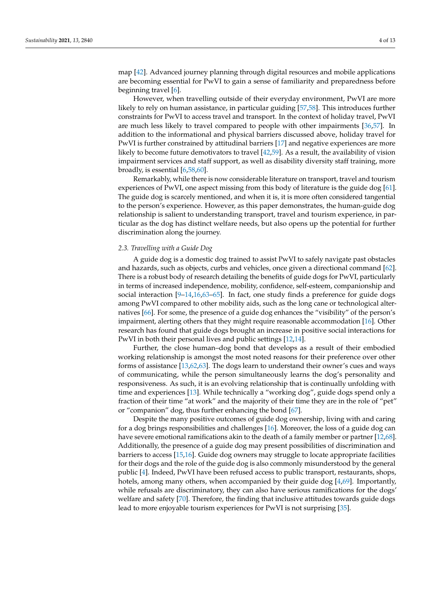map [\[42\]](#page-11-25). Advanced journey planning through digital resources and mobile applications are becoming essential for PwVI to gain a sense of familiarity and preparedness before beginning travel [\[6\]](#page-10-5).

However, when travelling outside of their everyday environment, PwVI are more likely to rely on human assistance, in particular guiding [\[57,](#page-12-8)[58\]](#page-12-9). This introduces further constraints for PwVI to access travel and transport. In the context of holiday travel, PwVI are much less likely to travel compared to people with other impairments [\[36,](#page-11-19)[57\]](#page-12-8). In addition to the informational and physical barriers discussed above, holiday travel for PwVI is further constrained by attitudinal barriers [\[17\]](#page-11-3) and negative experiences are more likely to become future demotivators to travel [\[42,](#page-11-25)[59\]](#page-12-10). As a result, the availability of vision impairment services and staff support, as well as disability diversity staff training, more broadly, is essential [\[6,](#page-10-5)[58,](#page-12-9)[60\]](#page-12-11).

Remarkably, while there is now considerable literature on transport, travel and tourism experiences of PwVI, one aspect missing from this body of literature is the guide dog [\[61\]](#page-12-12). The guide dog is scarcely mentioned, and when it is, it is more often considered tangential to the person's experience. However, as this paper demonstrates, the human-guide dog relationship is salient to understanding transport, travel and tourism experience, in particular as the dog has distinct welfare needs, but also opens up the potential for further discrimination along the journey.

# *2.3. Travelling with a Guide Dog*

A guide dog is a domestic dog trained to assist PwVI to safely navigate past obstacles and hazards, such as objects, curbs and vehicles, once given a directional command [\[62\]](#page-12-13). There is a robust body of research detailing the benefits of guide dogs for PwVI, particularly in terms of increased independence, mobility, confidence, self-esteem, companionship and social interaction  $[9-14,16,63-65]$  $[9-14,16,63-65]$  $[9-14,16,63-65]$  $[9-14,16,63-65]$  $[9-14,16,63-65]$ . In fact, one study finds a preference for guide dogs among PwVI compared to other mobility aids, such as the long cane or technological alternatives [\[66\]](#page-12-16). For some, the presence of a guide dog enhances the "visibility" of the person's impairment, alerting others that they might require reasonable accommodation [\[16\]](#page-11-2). Other research has found that guide dogs brought an increase in positive social interactions for PwVI in both their personal lives and public settings [\[12,](#page-10-10)[14\]](#page-11-0).

Further, the close human–dog bond that develops as a result of their embodied working relationship is amongst the most noted reasons for their preference over other forms of assistance [\[13](#page-10-11)[,62](#page-12-13)[,63\]](#page-12-14). The dogs learn to understand their owner's cues and ways of communicating, while the person simultaneously learns the dog's personality and responsiveness. As such, it is an evolving relationship that is continually unfolding with time and experiences [\[13\]](#page-10-11). While technically a "working dog", guide dogs spend only a fraction of their time "at work" and the majority of their time they are in the role of "pet" or "companion" dog, thus further enhancing the bond [\[67\]](#page-12-17).

Despite the many positive outcomes of guide dog ownership, living with and caring for a dog brings responsibilities and challenges [\[16\]](#page-11-2). Moreover, the loss of a guide dog can have severe emotional ramifications akin to the death of a family member or partner [\[12](#page-10-10)[,68\]](#page-12-18). Additionally, the presence of a guide dog may present possibilities of discrimination and barriers to access [\[15,](#page-11-1)[16\]](#page-11-2). Guide dog owners may struggle to locate appropriate facilities for their dogs and the role of the guide dog is also commonly misunderstood by the general public [\[4\]](#page-10-3). Indeed, PwVI have been refused access to public transport, restaurants, shops, hotels, among many others, when accompanied by their guide dog [\[4,](#page-10-3)[69\]](#page-12-19). Importantly, while refusals are discriminatory, they can also have serious ramifications for the dogs' welfare and safety [\[70\]](#page-12-20). Therefore, the finding that inclusive attitudes towards guide dogs lead to more enjoyable tourism experiences for PwVI is not surprising [\[35\]](#page-11-18).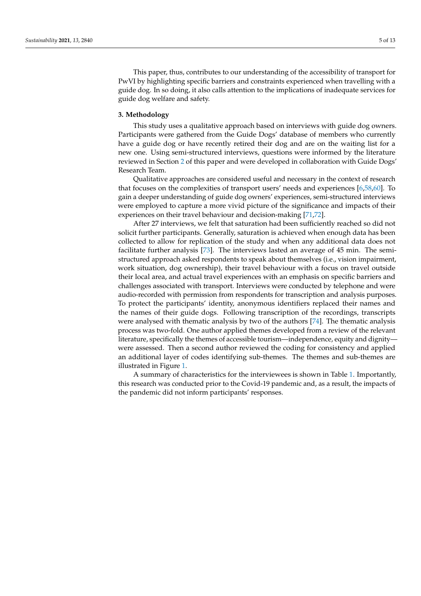This paper, thus, contributes to our understanding of the accessibility of transport for PwVI by highlighting specific barriers and constraints experienced when travelling with a guide dog. In so doing, it also calls attention to the implications of inadequate services for guide dog welfare and safety.

# <span id="page-4-0"></span>**3. Methodology**

This study uses a qualitative approach based on interviews with guide dog owners. Participants were gathered from the Guide Dogs' database of members who currently have a guide dog or have recently retired their dog and are on the waiting list for a new one. Using semi-structured interviews, questions were informed by the literature reviewed in Section [2](#page-1-0) of this paper and were developed in collaboration with Guide Dogs' Research Team.

Qualitative approaches are considered useful and necessary in the context of research that focuses on the complexities of transport users' needs and experiences [\[6,](#page-10-5)[58,](#page-12-9)[60\]](#page-12-11). To gain a deeper understanding of guide dog owners' experiences, semi-structured interviews were employed to capture a more vivid picture of the significance and impacts of their experiences on their travel behaviour and decision-making [\[71,](#page-12-21)[72\]](#page-12-22).

After 27 interviews, we felt that saturation had been sufficiently reached so did not solicit further participants. Generally, saturation is achieved when enough data has been collected to allow for replication of the study and when any additional data does not facilitate further analysis [\[73\]](#page-12-23). The interviews lasted an average of 45 min. The semistructured approach asked respondents to speak about themselves (i.e., vision impairment, work situation, dog ownership), their travel behaviour with a focus on travel outside their local area, and actual travel experiences with an emphasis on specific barriers and challenges associated with transport. Interviews were conducted by telephone and were audio-recorded with permission from respondents for transcription and analysis purposes. To protect the participants' identity, anonymous identifiers replaced their names and the names of their guide dogs. Following transcription of the recordings, transcripts were analysed with thematic analysis by two of the authors [\[74\]](#page-12-24). The thematic analysis process was two-fold. One author applied themes developed from a review of the relevant literature, specifically the themes of accessible tourism—independence, equity and dignity were assessed. Then a second author reviewed the coding for consistency and applied an additional layer of codes identifying sub-themes. The themes and sub-themes are illustrated in Figure [1.](#page-5-0)

A summary of characteristics for the interviewees is shown in Table [1.](#page-5-1) Importantly, this research was conducted prior to the Covid-19 pandemic and, as a result, the impacts of the pandemic did not inform participants' responses.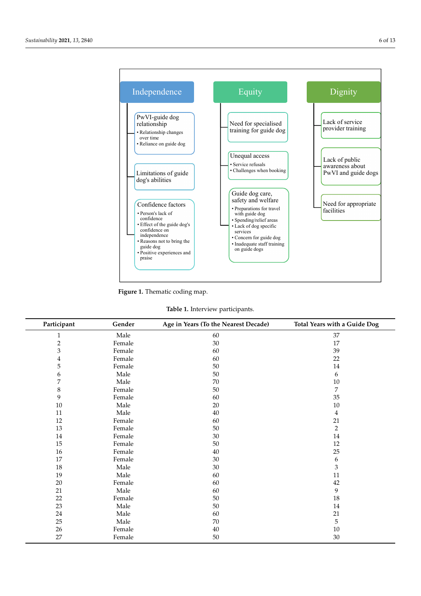<span id="page-5-0"></span>

*Sustainability* **2021**, *13*, 2840 6 of 14

**Figure 1.** Thematic coding map.

<span id="page-5-1"></span>

| Participant    | Gender | Age in Years (To the Nearest Decade) | Total Years with a Guide Dog |
|----------------|--------|--------------------------------------|------------------------------|
| 1              | Male   | 60                                   | 37                           |
| $\overline{c}$ | Female | 30                                   | 17                           |
| 3              | Female | 60                                   | 39                           |
| 4              | Female | 60                                   | 22                           |
| 5              | Female | 50                                   | $14\,$                       |
| 6              | Male   | 50                                   | 6                            |
| 7              | Male   | $70\,$                               | 10                           |
| $\,8\,$        | Female | 50                                   | 7                            |
| 9              | Female | 60                                   | 35                           |
| 10             | Male   | 20                                   | $10\,$                       |
| 11             | Male   | 40                                   | 4                            |
| 12             | Female | 60                                   | 21                           |
| 13             | Female | 50                                   | $\boldsymbol{2}$             |
| 14             | Female | 30                                   | $14\,$                       |
| 15             | Female | 50                                   | 12                           |
| 16             | Female | 40                                   | 25                           |
| 17             | Female | 30                                   | 6                            |
| 18             | Male   | 30                                   | 3                            |
| 19             | Male   | 60                                   | 11                           |
| 20             | Female | 60                                   | 42                           |
| 21             | Male   | 60                                   | 9                            |
| 22             | Female | 50                                   | 18                           |
| 23             | Male   | 50                                   | 14                           |
| 24             | Male   | 60                                   | 21                           |
| 25             | Male   | 70                                   | 5                            |
| 26             | Female | $40\,$                               | $10\,$                       |
| 27             | Female | 50                                   | 30                           |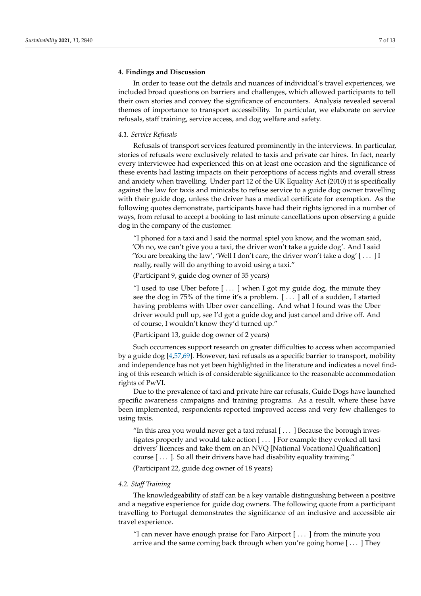### <span id="page-6-0"></span>**4. Findings and Discussion**

In order to tease out the details and nuances of individual's travel experiences, we included broad questions on barriers and challenges, which allowed participants to tell their own stories and convey the significance of encounters. Analysis revealed several themes of importance to transport accessibility. In particular, we elaborate on service refusals, staff training, service access, and dog welfare and safety.

#### *4.1. Service Refusals*

Refusals of transport services featured prominently in the interviews. In particular, stories of refusals were exclusively related to taxis and private car hires. In fact, nearly every interviewee had experienced this on at least one occasion and the significance of these events had lasting impacts on their perceptions of access rights and overall stress and anxiety when travelling. Under part 12 of the UK Equality Act (2010) it is specifically against the law for taxis and minicabs to refuse service to a guide dog owner travelling with their guide dog, unless the driver has a medical certificate for exemption. As the following quotes demonstrate, participants have had their rights ignored in a number of ways, from refusal to accept a booking to last minute cancellations upon observing a guide dog in the company of the customer.

"I phoned for a taxi and I said the normal spiel you know, and the woman said, 'Oh no, we can't give you a taxi, the driver won't take a guide dog'. And I said 'You are breaking the law', 'Well I don't care, the driver won't take a dog'  $[...]$  I really, really will do anything to avoid using a taxi."

(Participant 9, guide dog owner of 35 years)

"I used to use Uber before [ . . . ] when I got my guide dog, the minute they see the dog in 75% of the time it's a problem. [ . . . ] all of a sudden, I started having problems with Uber over cancelling. And what I found was the Uber driver would pull up, see I'd got a guide dog and just cancel and drive off. And of course, I wouldn't know they'd turned up."

(Participant 13, guide dog owner of 2 years)

Such occurrences support research on greater difficulties to access when accompanied by a guide dog [\[4](#page-10-3)[,57](#page-12-8)[,69\]](#page-12-19). However, taxi refusals as a specific barrier to transport, mobility and independence has not yet been highlighted in the literature and indicates a novel finding of this research which is of considerable significance to the reasonable accommodation rights of PwVI.

Due to the prevalence of taxi and private hire car refusals, Guide Dogs have launched specific awareness campaigns and training programs. As a result, where these have been implemented, respondents reported improved access and very few challenges to using taxis.

"In this area you would never get a taxi refusal  $[\ldots]$  Because the borough investigates properly and would take action [ . . . ] For example they evoked all taxi drivers' licences and take them on an NVQ [National Vocational Qualification] course [ . . . ]. So all their drivers have had disability equality training."

(Participant 22, guide dog owner of 18 years)

# *4.2. Staff Training*

The knowledgeability of staff can be a key variable distinguishing between a positive and a negative experience for guide dog owners. The following quote from a participant travelling to Portugal demonstrates the significance of an inclusive and accessible air travel experience.

"I can never have enough praise for Faro Airport  $[\,\dots\,]$  from the minute you arrive and the same coming back through when you're going home [ . . . ] They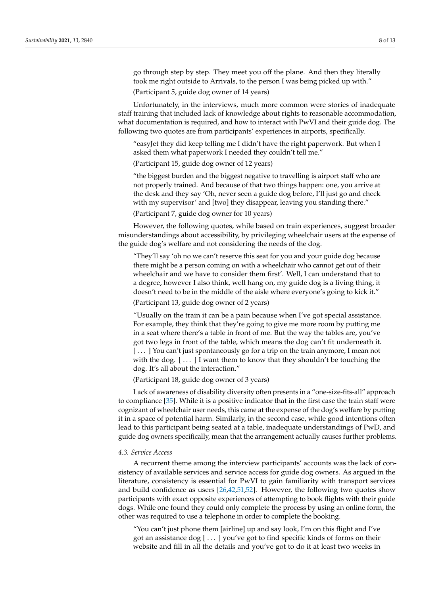go through step by step. They meet you off the plane. And then they literally took me right outside to Arrivals, to the person I was being picked up with."

(Participant 5, guide dog owner of 14 years)

Unfortunately, in the interviews, much more common were stories of inadequate staff training that included lack of knowledge about rights to reasonable accommodation, what documentation is required, and how to interact with PwVI and their guide dog. The following two quotes are from participants' experiences in airports, specifically.

"easyJet they did keep telling me I didn't have the right paperwork. But when I asked them what paperwork I needed they couldn't tell me."

(Participant 15, guide dog owner of 12 years)

"the biggest burden and the biggest negative to travelling is airport staff who are not properly trained. And because of that two things happen: one, you arrive at the desk and they say 'Oh, never seen a guide dog before, I'll just go and check with my supervisor' and [two] they disappear, leaving you standing there."

(Participant 7, guide dog owner for 10 years)

However, the following quotes, while based on train experiences, suggest broader misunderstandings about accessibility, by privileging wheelchair users at the expense of the guide dog's welfare and not considering the needs of the dog.

"They'll say 'oh no we can't reserve this seat for you and your guide dog because there might be a person coming on with a wheelchair who cannot get out of their wheelchair and we have to consider them first'. Well, I can understand that to a degree, however I also think, well hang on, my guide dog is a living thing, it doesn't need to be in the middle of the aisle where everyone's going to kick it."

(Participant 13, guide dog owner of 2 years)

"Usually on the train it can be a pain because when I've got special assistance. For example, they think that they're going to give me more room by putting me in a seat where there's a table in front of me. But the way the tables are, you've got two legs in front of the table, which means the dog can't fit underneath it. [...] You can't just spontaneously go for a trip on the train anymore, I mean not with the dog.  $[...]$  I want them to know that they shouldn't be touching the dog. It's all about the interaction."

(Participant 18, guide dog owner of 3 years)

Lack of awareness of disability diversity often presents in a "one-size-fits-all" approach to compliance [\[35\]](#page-11-18). While it is a positive indicator that in the first case the train staff were cognizant of wheelchair user needs, this came at the expense of the dog's welfare by putting it in a space of potential harm. Similarly, in the second case, while good intentions often lead to this participant being seated at a table, inadequate understandings of PwD, and guide dog owners specifically, mean that the arrangement actually causes further problems.

#### *4.3. Service Access*

A recurrent theme among the interview participants' accounts was the lack of consistency of available services and service access for guide dog owners. As argued in the literature, consistency is essential for PwVI to gain familiarity with transport services and build confidence as users [\[26](#page-11-9)[,42](#page-11-25)[,51](#page-12-3)[,52\]](#page-12-4). However, the following two quotes show participants with exact opposite experiences of attempting to book flights with their guide dogs. While one found they could only complete the process by using an online form, the other was required to use a telephone in order to complete the booking.

"You can't just phone them [airline] up and say look, I'm on this flight and I've got an assistance dog  $[\dots]$  you've got to find specific kinds of forms on their website and fill in all the details and you've got to do it at least two weeks in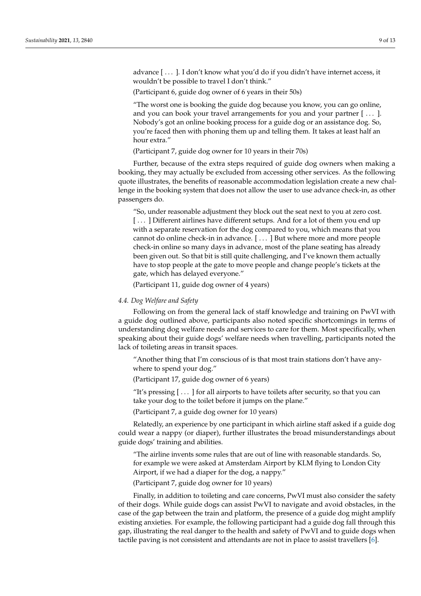advance [ . . . ]. I don't know what you'd do if you didn't have internet access, it wouldn't be possible to travel I don't think."

(Participant 6, guide dog owner of 6 years in their 50s)

"The worst one is booking the guide dog because you know, you can go online, and you can book your travel arrangements for you and your partner [...]. Nobody's got an online booking process for a guide dog or an assistance dog. So, you're faced then with phoning them up and telling them. It takes at least half an hour extra."

(Participant 7, guide dog owner for 10 years in their 70s)

Further, because of the extra steps required of guide dog owners when making a booking, they may actually be excluded from accessing other services. As the following quote illustrates, the benefits of reasonable accommodation legislation create a new challenge in the booking system that does not allow the user to use advance check-in, as other passengers do.

"So, under reasonable adjustment they block out the seat next to you at zero cost. [...] Different airlines have different setups. And for a lot of them you end up with a separate reservation for the dog compared to you, which means that you cannot do online check-in in advance. [ . . . ] But where more and more people check-in online so many days in advance, most of the plane seating has already been given out. So that bit is still quite challenging, and I've known them actually have to stop people at the gate to move people and change people's tickets at the gate, which has delayed everyone."

(Participant 11, guide dog owner of 4 years)

### *4.4. Dog Welfare and Safety*

Following on from the general lack of staff knowledge and training on PwVI with a guide dog outlined above, participants also noted specific shortcomings in terms of understanding dog welfare needs and services to care for them. Most specifically, when speaking about their guide dogs' welfare needs when travelling, participants noted the lack of toileting areas in transit spaces.

"Another thing that I'm conscious of is that most train stations don't have anywhere to spend your dog."

(Participant 17, guide dog owner of 6 years)

"It's pressing [ . . . ] for all airports to have toilets after security, so that you can take your dog to the toilet before it jumps on the plane."

(Participant 7, a guide dog owner for 10 years)

Relatedly, an experience by one participant in which airline staff asked if a guide dog could wear a nappy (or diaper), further illustrates the broad misunderstandings about guide dogs' training and abilities.

"The airline invents some rules that are out of line with reasonable standards. So, for example we were asked at Amsterdam Airport by KLM flying to London City Airport, if we had a diaper for the dog, a nappy."

(Participant 7, guide dog owner for 10 years)

Finally, in addition to toileting and care concerns, PwVI must also consider the safety of their dogs. While guide dogs can assist PwVI to navigate and avoid obstacles, in the case of the gap between the train and platform, the presence of a guide dog might amplify existing anxieties. For example, the following participant had a guide dog fall through this gap, illustrating the real danger to the health and safety of PwVI and to guide dogs when tactile paving is not consistent and attendants are not in place to assist travellers [\[6\]](#page-10-5).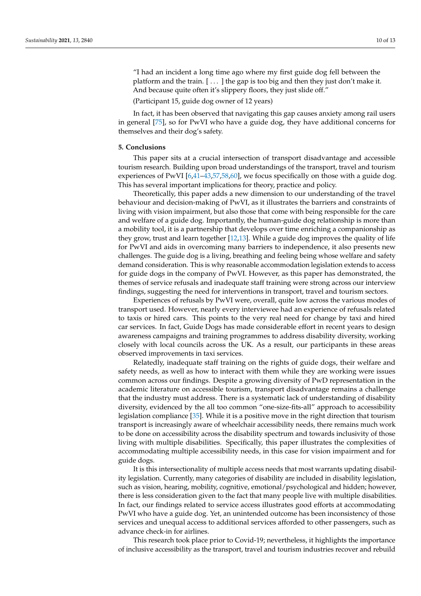"I had an incident a long time ago where my first guide dog fell between the platform and the train. [ . . . ] the gap is too big and then they just don't make it. And because quite often it's slippery floors, they just slide off."

(Participant 15, guide dog owner of 12 years)

In fact, it has been observed that navigating this gap causes anxiety among rail users in general [\[75\]](#page-12-25), so for PwVI who have a guide dog, they have additional concerns for themselves and their dog's safety.

### <span id="page-9-0"></span>**5. Conclusions**

This paper sits at a crucial intersection of transport disadvantage and accessible tourism research. Building upon broad understandings of the transport, travel and tourism experiences of PwVI  $[6,41-43,57,58,60]$  $[6,41-43,57,58,60]$  $[6,41-43,57,58,60]$  $[6,41-43,57,58,60]$  $[6,41-43,57,58,60]$  $[6,41-43,57,58,60]$ , we focus specifically on those with a guide dog. This has several important implications for theory, practice and policy.

Theoretically, this paper adds a new dimension to our understanding of the travel behaviour and decision-making of PwVI, as it illustrates the barriers and constraints of living with vision impairment, but also those that come with being responsible for the care and welfare of a guide dog. Importantly, the human-guide dog relationship is more than a mobility tool, it is a partnership that develops over time enriching a companionship as they grow, trust and learn together [\[12,](#page-10-10)[13\]](#page-10-11). While a guide dog improves the quality of life for PwVI and aids in overcoming many barriers to independence, it also presents new challenges. The guide dog is a living, breathing and feeling being whose welfare and safety demand consideration. This is why reasonable accommodation legislation extends to access for guide dogs in the company of PwVI. However, as this paper has demonstrated, the themes of service refusals and inadequate staff training were strong across our interview findings, suggesting the need for interventions in transport, travel and tourism sectors.

Experiences of refusals by PwVI were, overall, quite low across the various modes of transport used. However, nearly every interviewee had an experience of refusals related to taxis or hired cars. This points to the very real need for change by taxi and hired car services. In fact, Guide Dogs has made considerable effort in recent years to design awareness campaigns and training programmes to address disability diversity, working closely with local councils across the UK. As a result, our participants in these areas observed improvements in taxi services.

Relatedly, inadequate staff training on the rights of guide dogs, their welfare and safety needs, as well as how to interact with them while they are working were issues common across our findings. Despite a growing diversity of PwD representation in the academic literature on accessible tourism, transport disadvantage remains a challenge that the industry must address. There is a systematic lack of understanding of disability diversity, evidenced by the all too common "one-size-fits-all" approach to accessibility legislation compliance [\[35\]](#page-11-18). While it is a positive move in the right direction that tourism transport is increasingly aware of wheelchair accessibility needs, there remains much work to be done on accessibility across the disability spectrum and towards inclusivity of those living with multiple disabilities. Specifically, this paper illustrates the complexities of accommodating multiple accessibility needs, in this case for vision impairment and for guide dogs.

It is this intersectionality of multiple access needs that most warrants updating disability legislation. Currently, many categories of disability are included in disability legislation, such as vision, hearing, mobility, cognitive, emotional/psychological and hidden; however, there is less consideration given to the fact that many people live with multiple disabilities. In fact, our findings related to service access illustrates good efforts at accommodating PwVI who have a guide dog. Yet, an unintended outcome has been inconsistency of those services and unequal access to additional services afforded to other passengers, such as advance check-in for airlines.

This research took place prior to Covid-19; nevertheless, it highlights the importance of inclusive accessibility as the transport, travel and tourism industries recover and rebuild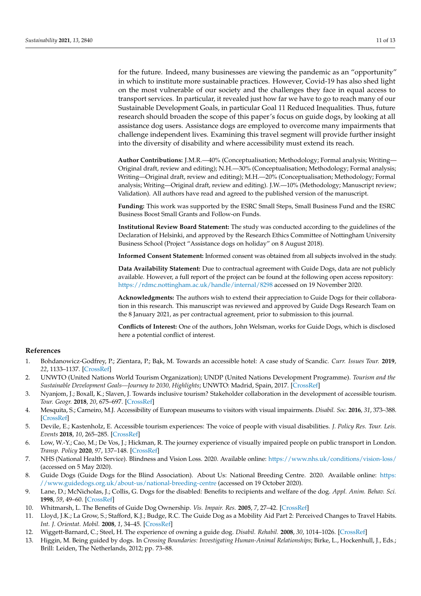for the future. Indeed, many businesses are viewing the pandemic as an "opportunity" in which to institute more sustainable practices. However, Covid-19 has also shed light on the most vulnerable of our society and the challenges they face in equal access to transport services. In particular, it revealed just how far we have to go to reach many of our Sustainable Development Goals, in particular Goal 11 Reduced Inequalities. Thus, future research should broaden the scope of this paper's focus on guide dogs, by looking at all assistance dog users. Assistance dogs are employed to overcome many impairments that challenge independent lives. Examining this travel segment will provide further insight into the diversity of disability and where accessibility must extend its reach.

**Author Contributions:** J.M.R.—40% (Conceptualisation; Methodology; Formal analysis; Writing— Original draft, review and editing); N.H.—30% (Conceptualisation; Methodology; Formal analysis; Writing—Original draft, review and editing); M.H.—20% (Conceptualisation; Methodology; Formal analysis; Writing—Original draft, review and editing). J.W.—10% (Methodology; Manuscript review; Validation). All authors have read and agreed to the published version of the manuscript.

**Funding:** This work was supported by the ESRC Small Steps, Small Business Fund and the ESRC Business Boost Small Grants and Follow-on Funds.

**Institutional Review Board Statement:** The study was conducted according to the guidelines of the Declaration of Helsinki, and approved by the Research Ethics Committee of Nottingham University Business School (Project "Assistance dogs on holiday" on 8 August 2018).

**Informed Consent Statement:** Informed consent was obtained from all subjects involved in the study.

**Data Availability Statement:** Due to contractual agreement with Guide Dogs, data are not publicly available. However, a full report of the project can be found at the following open access repository: <https://rdmc.nottingham.ac.uk/handle/internal/8298> accessed on 19 November 2020.

**Acknowledgments:** The authors wish to extend their appreciation to Guide Dogs for their collaboration in this research. This manuscript was reviewed and approved by Guide Dogs Research Team on the 8 January 2021, as per contractual agreement, prior to submission to this journal.

**Conflicts of Interest:** One of the authors, John Welsman, works for Guide Dogs, which is disclosed here a potential conflict of interest.

#### **References**

- <span id="page-10-0"></span>1. Bohdanowicz-Godfrey, P.; Zientara, P.; Bąk, M. Towards an accessible hotel: A case study of Scandic. *Curr. Issues Tour.* 2019, *22*, 1133–1137. [\[CrossRef\]](http://doi.org/10.1080/13683500.2018.1449191)
- <span id="page-10-1"></span>2. UNWTO (United Nations World Tourism Organization); UNDP (United Nations Development Programme). *Tourism and the Sustainable Development Goals—Journey to 2030, Highlights*; UNWTO: Madrid, Spain, 2017. [\[CrossRef\]](http://doi.org/10.18111/9789284419340)
- <span id="page-10-2"></span>3. Nyanjom, J.; Boxall, K.; Slaven, J. Towards inclusive tourism? Stakeholder collaboration in the development of accessible tourism. *Tour. Geogr.* **2018**, *20*, 675–697. [\[CrossRef\]](http://doi.org/10.1080/14616688.2018.1477828)
- <span id="page-10-3"></span>4. Mesquita, S.; Carneiro, M.J. Accessibility of European museums to visitors with visual impairments. *Disabil. Soc.* **2016**, *31*, 373–388. [\[CrossRef\]](http://doi.org/10.1080/09687599.2016.1167671)
- <span id="page-10-4"></span>5. Devile, E.; Kastenholz, E. Accessible tourism experiences: The voice of people with visual disabilities. *J. Policy Res. Tour. Leis. Events* **2018**, *10*, 265–285. [\[CrossRef\]](http://doi.org/10.1080/19407963.2018.1470183)
- <span id="page-10-5"></span>6. Low, W.-Y.; Cao, M.; De Vos, J.; Hickman, R. The journey experience of visually impaired people on public transport in London. *Transp. Policy* **2020**, *97*, 137–148. [\[CrossRef\]](http://doi.org/10.1016/j.tranpol.2020.07.018)
- <span id="page-10-6"></span>7. NHS (National Health Service). Blindness and Vision Loss. 2020. Available online: <https://www.nhs.uk/conditions/vision-loss/> (accessed on 5 May 2020).
- <span id="page-10-7"></span>8. Guide Dogs (Guide Dogs for the Blind Association). About Us: National Breeding Centre. 2020. Available online: [https:](https://www.guidedogs.org.uk/about-us/national-breeding-centre) [//www.guidedogs.org.uk/about-us/national-breeding-centre](https://www.guidedogs.org.uk/about-us/national-breeding-centre) (accessed on 19 October 2020).
- <span id="page-10-8"></span>9. Lane, D.; McNicholas, J.; Collis, G. Dogs for the disabled: Benefits to recipients and welfare of the dog. *Appl. Anim. Behav. Sci.* **1998**, *59*, 49–60. [\[CrossRef\]](http://doi.org/10.1016/S0168-1591(98)00120-8)
- 10. Whitmarsh, L. The Benefits of Guide Dog Ownership. *Vis. Impair. Res.* **2005**, *7*, 27–42. [\[CrossRef\]](http://doi.org/10.1080/13882350590956439)
- <span id="page-10-9"></span>11. Lloyd, J.K.; La Grow, S.; Stafford, K.J.; Budge, R.C. The Guide Dog as a Mobility Aid Part 2: Perceived Changes to Travel Habits. *Int. J. Orientat. Mobil.* **2008**, *1*, 34–45. [\[CrossRef\]](http://doi.org/10.21307/ijom-2008-004)
- <span id="page-10-10"></span>12. Wiggett-Barnard, C.; Steel, H. The experience of owning a guide dog. *Disabil. Rehabil.* **2008**, *30*, 1014–1026. [\[CrossRef\]](http://doi.org/10.1080/09638280701466517)
- <span id="page-10-11"></span>13. Higgin, M. Being guided by dogs. In *Crossing Boundaries: Investigating Human-Animal Relationships*; Birke, L., Hockenhull, J., Eds.; Brill: Leiden, The Netherlands, 2012; pp. 73–88.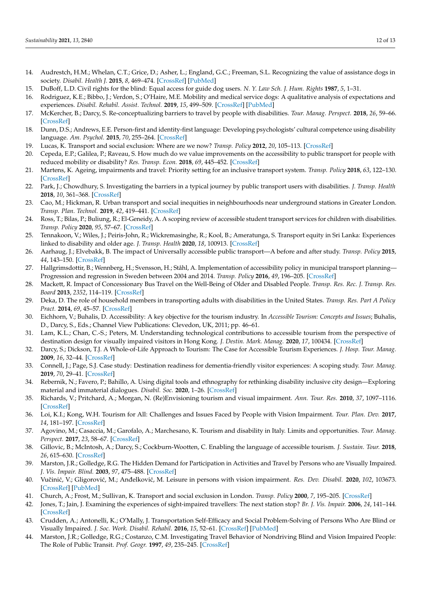- <span id="page-11-0"></span>14. Audrestch, H.M.; Whelan, C.T.; Grice, D.; Asher, L.; England, G.C.; Freeman, S.L. Recognizing the value of assistance dogs in society. *Disabil. Health J.* **2015**, *8*, 469–474. [\[CrossRef\]](http://doi.org/10.1016/j.dhjo.2015.07.001) [\[PubMed\]](http://www.ncbi.nlm.nih.gov/pubmed/26364936)
- <span id="page-11-1"></span>15. DuBoff, L.D. Civil rights for the blind: Equal access for guide dog users. *N. Y. Law Sch. J. Hum. Rights* **1987**, *5*, 1–31.
- <span id="page-11-2"></span>16. Rodriguez, K.E.; Bibbo, J.; Verdon, S.; O'Haire, M.E. Mobility and medical service dogs: A qualitative analysis of expectations and experiences. *Disabil. Rehabil. Assist. Technol.* **2019**, *15*, 499–509. [\[CrossRef\]](http://doi.org/10.1080/17483107.2019.1587015) [\[PubMed\]](http://www.ncbi.nlm.nih.gov/pubmed/30907171)
- <span id="page-11-3"></span>17. McKercher, B.; Darcy, S. Re-conceptualizing barriers to travel by people with disabilities. *Tour. Manag. Perspect.* **2018**, *26*, 59–66. [\[CrossRef\]](http://doi.org/10.1016/j.tmp.2018.01.003)
- <span id="page-11-4"></span>18. Dunn, D.S.; Andrews, E.E. Person-first and identity-first language: Developing psychologists' cultural competence using disability language. *Am. Psychol.* **2015**, *70*, 255–264. [\[CrossRef\]](http://doi.org/10.1037/a0038636)
- <span id="page-11-5"></span>19. Lucas, K. Transport and social exclusion: Where are we now? *Transp. Policy* **2012**, *20*, 105–113. [\[CrossRef\]](http://doi.org/10.1016/j.tranpol.2012.01.013)
- <span id="page-11-6"></span>20. Cepeda, E.P.; Galilea, P.; Raveau, S. How much do we value improvements on the accessibility to public transport for people with reduced mobility or disability? *Res. Transp. Econ.* **2018**, *69*, 445–452. [\[CrossRef\]](http://doi.org/10.1016/j.retrec.2018.08.009)
- 21. Martens, K. Ageing, impairments and travel: Priority setting for an inclusive transport system. *Transp. Policy* **2018**, *63*, 122–130. [\[CrossRef\]](http://doi.org/10.1016/j.tranpol.2017.12.001)
- 22. Park, J.; Chowdhury, S. Investigating the barriers in a typical journey by public transport users with disabilities. *J. Transp. Health* **2018**, *10*, 361–368. [\[CrossRef\]](http://doi.org/10.1016/j.jth.2018.05.008)
- 23. Cao, M.; Hickman, R. Urban transport and social inequities in neighbourhoods near underground stations in Greater London. *Transp. Plan. Technol.* **2019**, *42*, 419–441. [\[CrossRef\]](http://doi.org/10.1080/03081060.2019.1609215)
- <span id="page-11-7"></span>24. Ross, T.; Bilas, P.; Buliung, R.; El-Geneidy, A. A scoping review of accessible student transport services for children with disabilities. *Transp. Policy* **2020**, *95*, 57–67. [\[CrossRef\]](http://doi.org/10.1016/j.tranpol.2020.06.002)
- <span id="page-11-8"></span>25. Tennakoon, V.; Wiles, J.; Peiris-John, R.; Wickremasinghe, R.; Kool, B.; Ameratunga, S. Transport equity in Sri Lanka: Experiences linked to disability and older age. *J. Transp. Health* **2020**, *18*, 100913. [\[CrossRef\]](http://doi.org/10.1016/j.jth.2020.100913)
- <span id="page-11-9"></span>26. Aarhaug, J.; Elvebakk, B. The impact of Universally accessible public transport—A before and after study. *Transp. Policy* **2015**, *44*, 143–150. [\[CrossRef\]](http://doi.org/10.1016/j.tranpol.2015.08.003)
- <span id="page-11-10"></span>27. Hallgrimsdottir, B.; Wennberg, H.; Svensson, H.; Ståhl, A. Implementation of accessibility policy in municipal transport planning— Progression and regression in Sweden between 2004 and 2014. *Transp. Policy* **2016**, *49*, 196–205. [\[CrossRef\]](http://doi.org/10.1016/j.tranpol.2016.05.002)
- <span id="page-11-11"></span>28. Mackett, R. Impact of Concessionary Bus Travel on the Well-Being of Older and Disabled People. *Transp. Res. Rec. J. Transp. Res. Board* **2013**, *2352*, 114–119. [\[CrossRef\]](http://doi.org/10.3141/2352-13)
- <span id="page-11-12"></span>29. Deka, D. The role of household members in transporting adults with disabilities in the United States. *Transp. Res. Part A Policy Pract.* **2014**, *69*, 45–57. [\[CrossRef\]](http://doi.org/10.1016/j.tra.2014.08.010)
- <span id="page-11-13"></span>30. Eichhorn, V.; Buhalis, D. Accessibility: A key objective for the tourism industry. In *Accessible Tourism: Concepts and Issues*; Buhalis, D., Darcy, S., Eds.; Channel View Publications: Clevedon, UK, 2011; pp. 46–61.
- <span id="page-11-14"></span>31. Lam, K.L.; Chan, C.-S.; Peters, M. Understanding technological contributions to accessible tourism from the perspective of destination design for visually impaired visitors in Hong Kong. *J. Destin. Mark. Manag.* **2020**, *17*, 100434. [\[CrossRef\]](http://doi.org/10.1016/j.jdmm.2020.100434)
- <span id="page-11-15"></span>32. Darcy, S.; Dickson, T.J. A Whole-of-Life Approach to Tourism: The Case for Accessible Tourism Experiences. *J. Hosp. Tour. Manag.* **2009**, *16*, 32–44. [\[CrossRef\]](http://doi.org/10.1375/jhtm.16.1.32)
- <span id="page-11-16"></span>33. Connell, J.; Page, S.J. Case study: Destination readiness for dementia-friendly visitor experiences: A scoping study. *Tour. Manag.* **2019**, *70*, 29–41. [\[CrossRef\]](http://doi.org/10.1016/j.tourman.2018.05.013)
- <span id="page-11-17"></span>34. Rebernik, N.; Favero, P.; Bahillo, A. Using digital tools and ethnography for rethinking disability inclusive city design—Exploring material and immaterial dialogues. *Disabil. Soc.* **2020**, 1–26. [\[CrossRef\]](http://doi.org/10.1080/09687599.2020.1779035)
- <span id="page-11-18"></span>35. Richards, V.; Pritchard, A.; Morgan, N. (Re)Envisioning tourism and visual impairment. *Ann. Tour. Res.* **2010**, *37*, 1097–1116. [\[CrossRef\]](http://doi.org/10.1016/j.annals.2010.04.011)
- <span id="page-11-19"></span>36. Loi, K.I.; Kong, W.H. Tourism for All: Challenges and Issues Faced by People with Vision Impairment. *Tour. Plan. Dev.* **2017**, *14*, 181–197. [\[CrossRef\]](http://doi.org/10.1080/21568316.2016.1204357)
- <span id="page-11-20"></span>37. Agovino, M.; Casaccia, M.; Garofalo, A.; Marchesano, K. Tourism and disability in Italy. Limits and opportunities. *Tour. Manag. Perspect.* **2017**, *23*, 58–67. [\[CrossRef\]](http://doi.org/10.1016/j.tmp.2017.05.001)
- <span id="page-11-21"></span>38. Gillovic, B.; McIntosh, A.; Darcy, S.; Cockburn-Wootten, C. Enabling the language of accessible tourism. *J. Sustain. Tour.* **2018**, *26*, 615–630. [\[CrossRef\]](http://doi.org/10.1080/09669582.2017.1377209)
- <span id="page-11-22"></span>39. Marston, J.R.; Golledge, R.G. The Hidden Demand for Participation in Activities and Travel by Persons who are Visually Impaired. *J. Vis. Impair. Blind.* **2003**, *97*, 475–488. [\[CrossRef\]](http://doi.org/10.1177/0145482X0309700803)
- <span id="page-11-23"></span>40. Vučinić, V.; Gligorović, M.; Anđelković, M. Leisure in persons with vision impairment. Res. Dev. Disabil. 2020, 102, 103673. [\[CrossRef\]](http://doi.org/10.1016/j.ridd.2020.103673) [\[PubMed\]](http://www.ncbi.nlm.nih.gov/pubmed/32388041)
- <span id="page-11-24"></span>41. Church, A.; Frost, M.; Sullivan, K. Transport and social exclusion in London. *Transp. Policy* **2000**, *7*, 195–205. [\[CrossRef\]](http://doi.org/10.1016/S0967-070X(00)00024-X)
- <span id="page-11-25"></span>42. Jones, T.; Jain, J. Examining the experiences of sight-impaired travellers: The next station stop? *Br. J. Vis. Impair.* **2006**, *24*, 141–144. [\[CrossRef\]](http://doi.org/10.1177/0264619606066198)
- <span id="page-11-26"></span>43. Crudden, A.; Antonelli, K.; O'Mally, J. Transportation Self-Efficacy and Social Problem-Solving of Persons Who Are Blind or Visually Impaired. *J. Soc. Work. Disabil. Rehabil.* **2016**, *15*, 52–61. [\[CrossRef\]](http://doi.org/10.1080/1536710X.2016.1124254) [\[PubMed\]](http://www.ncbi.nlm.nih.gov/pubmed/26623731)
- <span id="page-11-27"></span>44. Marston, J.R.; Golledge, R.G.; Costanzo, C.M. Investigating Travel Behavior of Nondriving Blind and Vision Impaired People: The Role of Public Transit. *Prof. Geogr.* **1997**, *49*, 235–245. [\[CrossRef\]](http://doi.org/10.1111/0033-0124.00073)